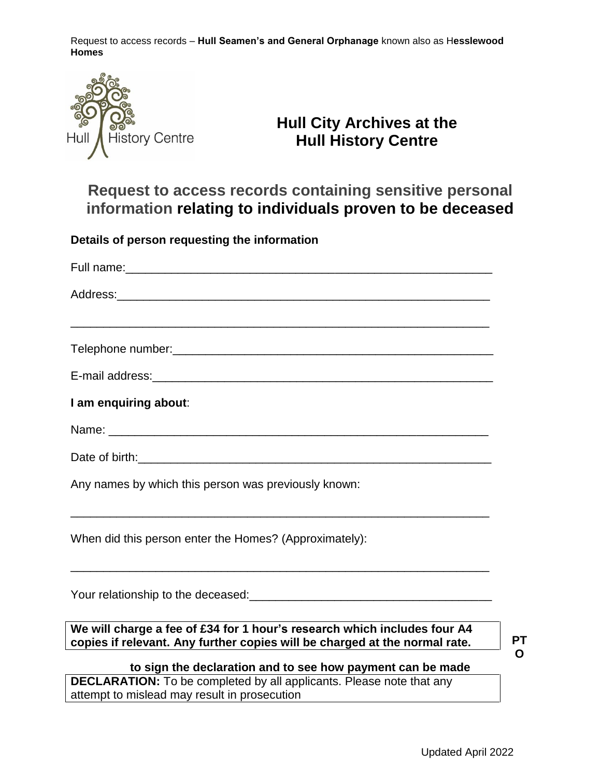Request to access records – **Hull Seamen's and General Orphanage** known also as H**esslewood Homes**



## **Hull City Archives at the Hull History Centre**

**Request to access records containing sensitive personal information relating to individuals proven to be deceased**

**Details of person requesting the information**

**PT O** 

**DECLARATION:** To be completed by all applicants. Please note that any attempt to mislead may result in prosecution